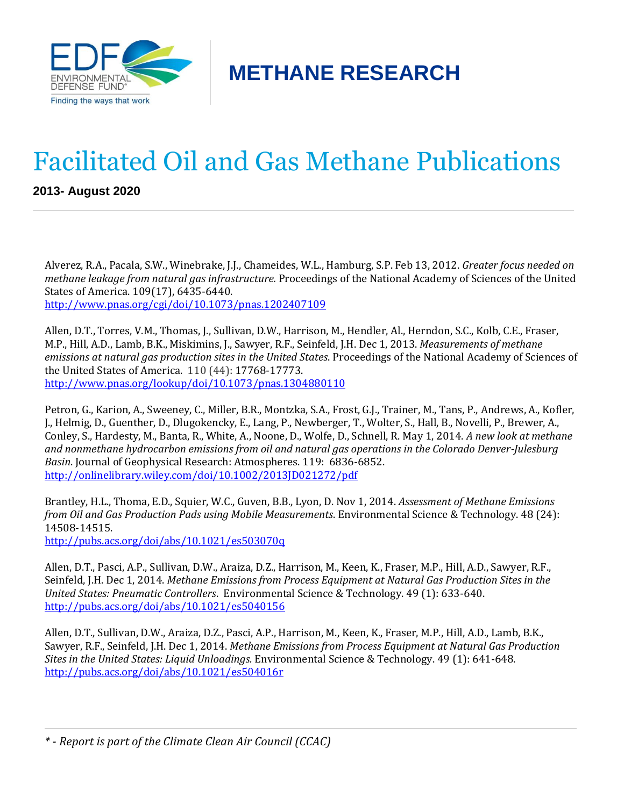

**METHANE RESEARCH**

## Facilitated Oil and Gas Methane Publications

**2013- August 2020**

Alverez, R.A., Pacala, S.W., Winebrake, J.J., Chameides, W.L., Hamburg, S.P. Feb 13, 2012. *Greater focus needed on methane leakage from natural gas infrastructure.* Proceedings of the National Academy of Sciences of the United States of America. 109(17), 6435-6440. <http://www.pnas.org/cgi/doi/10.1073/pnas.1202407109>

Allen, D.T., Torres, V.M., Thomas, J., Sullivan, D.W., Harrison, M., Hendler, Al., Herndon, S.C., Kolb, C.E., Fraser, M.P., Hill, A.D., Lamb, B.K., Miskimins, J., Sawyer, R.F., Seinfeld, J.H. Dec 1, 2013. *Measurements of methane emissions at natural gas production sites in the United States*. Proceedings of the National Academy of Sciences of the United States of America. 110 (44): 17768-17773. <http://www.pnas.org/lookup/doi/10.1073/pnas.1304880110>

Petron, G., Karion, A., Sweeney, C., Miller, B.R., Montzka, S.A., Frost, G.J., Trainer, M., Tans, P., Andrews, A., Kofler, J., Helmig, D., Guenther, D., Dlugokencky, E., Lang, P., Newberger, T., Wolter, S., Hall, B., Novelli, P., Brewer, A., Conley, S., Hardesty, M., Banta, R., White, A., Noone, D., Wolfe, D., Schnell, R. May 1, 2014. *A new look at methane and nonmethane hydrocarbon emissions from oil and natural gas operations in the Colorado Denver-Julesburg Basin*. Journal of Geophysical Research: Atmospheres. 119: 6836-6852. <http://onlinelibrary.wiley.com/doi/10.1002/2013JD021272/pdf>

Brantley, H.L., Thoma, E.D., Squier, W.C., Guven, B.B., Lyon, D. Nov 1, 2014. *Assessment of Methane Emissions from Oil and Gas Production Pads using Mobile Measurements*. Environmental Science & Technology. 48 (24): 14508-14515.

<http://pubs.acs.org/doi/abs/10.1021/es503070q>

Allen, D.T., Pasci, A.P., Sullivan, D.W., Araiza, D.Z., Harrison, M., Keen, K., Fraser, M.P., Hill, A.D., Sawyer, R.F., Seinfeld, J.H. Dec 1, 2014. *Methane Emissions from Process Equipment at Natural Gas Production Sites in the United States: Pneumatic Controllers*. Environmental Science & Technology. 49 (1): 633-640. <http://pubs.acs.org/doi/abs/10.1021/es5040156>

Allen, D.T., Sullivan, D.W., Araiza, D.Z., Pasci, A.P., Harrison, M., Keen, K., Fraser, M.P., Hill, A.D., Lamb, B.K., Sawyer, R.F., Seinfeld, J.H. Dec 1, 2014. *Methane Emissions from Process Equipment at Natural Gas Production Sites in the United States: Liquid Unloadings.* Environmental Science & Technology. 49 (1): 641-648. <http://pubs.acs.org/doi/abs/10.1021/es504016r>

*<sup>\* -</sup> Report is part of the Climate Clean Air Council (CCAC)*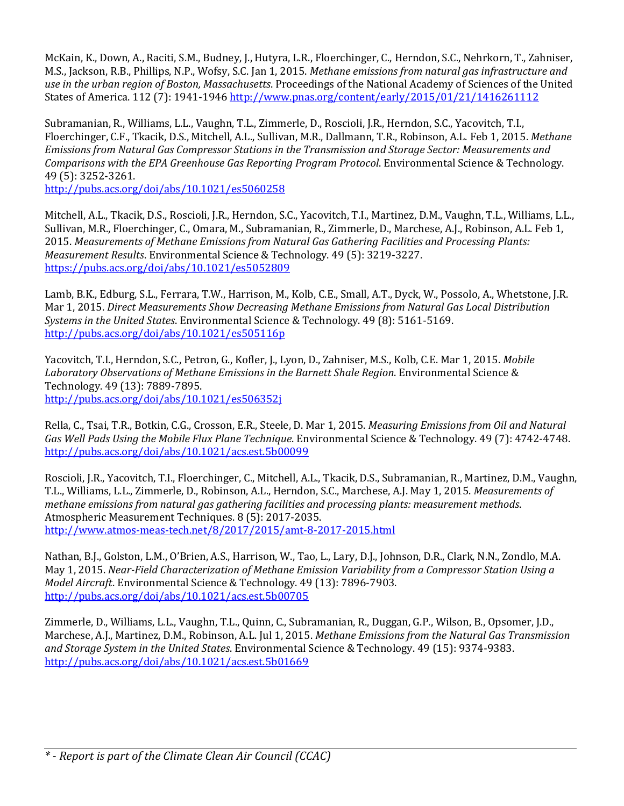McKain, K., Down, A., Raciti, S.M., Budney, J., Hutyra, L.R., Floerchinger, C., Herndon, S.C., Nehrkorn, T., Zahniser, M.S., Jackson, R.B., Phillips, N.P., Wofsy, S.C. Jan 1, 2015. *Methane emissions from natural gas infrastructure and use in the urban region of Boston, Massachusetts*. Proceedings of the National Academy of Sciences of the United States of America. 112 (7): 1941-1946 <http://www.pnas.org/content/early/2015/01/21/1416261112>

Subramanian, R., Williams, L.L., Vaughn, T.L., Zimmerle, D., Roscioli, J.R., Herndon, S.C., Yacovitch, T.I., Floerchinger, C.F., Tkacik, D.S., Mitchell, A.L., Sullivan, M.R., Dallmann, T.R., Robinson, A.L. Feb 1, 2015. *Methane Emissions from Natural Gas Compressor Stations in the Transmission and Storage Sector: Measurements and Comparisons with the EPA Greenhouse Gas Reporting Program Protocol*. Environmental Science & Technology. 49 (5): 3252-3261.

<http://pubs.acs.org/doi/abs/10.1021/es5060258>

Mitchell, A.L., Tkacik, D.S., Roscioli, J.R., Herndon, S.C., Yacovitch, T.I., Martinez, D.M., Vaughn, T.L., Williams, L.L., Sullivan, M.R., Floerchinger, C., Omara, M., Subramanian, R., Zimmerle, D., Marchese, A.J., Robinson, A.L. Feb 1, 2015. *Measurements of Methane Emissions from Natural Gas Gathering Facilities and Processing Plants: Measurement Results*. Environmental Science & Technology. 49 (5): 3219-3227. <https://pubs.acs.org/doi/abs/10.1021/es5052809>

Lamb, B.K., Edburg, S.L., Ferrara, T.W., Harrison, M., Kolb, C.E., Small, A.T., Dyck, W., Possolo, A., Whetstone, J.R. Mar 1, 2015. *Direct Measurements Show Decreasing Methane Emissions from Natural Gas Local Distribution Systems in the United States*. Environmental Science & Technology. 49 (8): 5161-5169. <http://pubs.acs.org/doi/abs/10.1021/es505116p>

Yacovitch, T.I., Herndon, S.C., Petron, G., Kofler, J., Lyon, D., Zahniser, M.S., Kolb, C.E. Mar 1, 2015. *Mobile Laboratory Observations of Methane Emissions in the Barnett Shale Region*. Environmental Science & Technology. 49 (13): 7889-7895. <http://pubs.acs.org/doi/abs/10.1021/es506352j>

Rella, C., Tsai, T.R., Botkin, C.G., Crosson, E.R., Steele, D. Mar 1, 2015. *Measuring Emissions from Oil and Natural Gas Well Pads Using the Mobile Flux Plane Technique*. Environmental Science & Technology. 49 (7): 4742-4748. <http://pubs.acs.org/doi/abs/10.1021/acs.est.5b00099>

Roscioli, J.R., Yacovitch, T.I., Floerchinger, C., Mitchell, A.L., Tkacik, D.S., Subramanian, R., Martinez, D.M., Vaughn, T.L., Williams, L.L., Zimmerle, D., Robinson, A.L., Herndon, S.C., Marchese, A.J. May 1, 2015. *Measurements of methane emissions from natural gas gathering facilities and processing plants: measurement methods*. Atmospheric Measurement Techniques. 8 (5): 2017-2035. <http://www.atmos-meas-tech.net/8/2017/2015/amt-8-2017-2015.html>

Nathan, B.J., Golston, L.M., O'Brien, A.S., Harrison, W., Tao, L., Lary, D.J., Johnson, D.R., Clark, N.N., Zondlo, M.A. May 1, 2015. *Near-Field Characterization of Methane Emission Variability from a Compressor Station Using a Model Aircraft*. Environmental Science & Technology. 49 (13): 7896-7903. <http://pubs.acs.org/doi/abs/10.1021/acs.est.5b00705>

Zimmerle, D., Williams, L.L., Vaughn, T.L., Quinn, C., Subramanian, R., Duggan, G.P., Wilson, B., Opsomer, J.D., Marchese, A.J., Martinez, D.M., Robinson, A.L. Jul 1, 2015. *Methane Emissions from the Natural Gas Transmission and Storage System in the United States*. Environmental Science & Technology. 49 (15): 9374-9383. <http://pubs.acs.org/doi/abs/10.1021/acs.est.5b01669>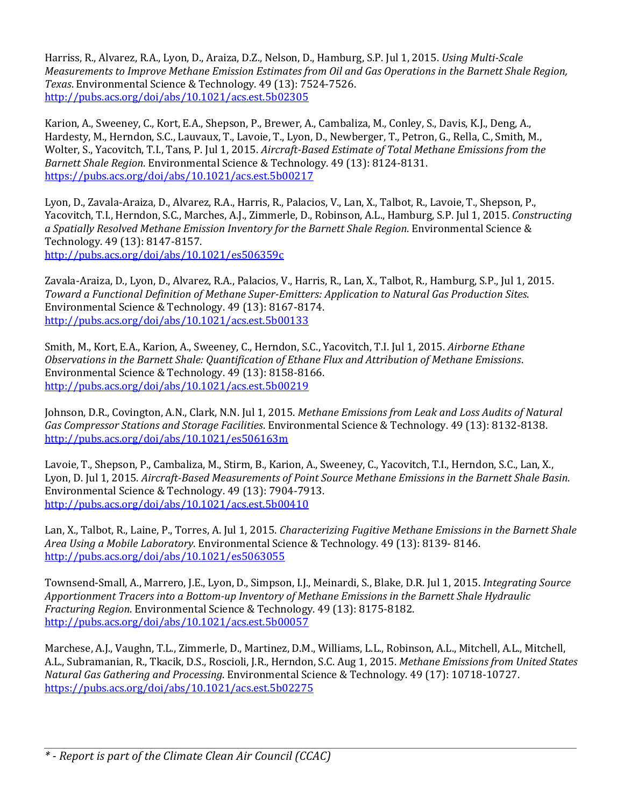Harriss, R., Alvarez, R.A., Lyon, D., Araiza, D.Z., Nelson, D., Hamburg, S.P. Jul 1, 2015. *Using Multi-Scale Measurements to Improve Methane Emission Estimates from Oil and Gas Operations in the Barnett Shale Region, Texas*. Environmental Science & Technology. 49 (13): 7524-7526. <http://pubs.acs.org/doi/abs/10.1021/acs.est.5b02305>

Karion, A., Sweeney, C., Kort, E.A., Shepson, P., Brewer, A., Cambaliza, M., Conley, S., Davis, K.J., Deng, A., Hardesty, M., Herndon, S.C., Lauvaux, T., Lavoie, T., Lyon, D., Newberger, T., Petron, G., Rella, C., Smith, M., Wolter, S., Yacovitch, T.I., Tans, P. Jul 1, 2015. *Aircraft-Based Estimate of Total Methane Emissions from the Barnett Shale Region*. Environmental Science & Technology. 49 (13): 8124-8131. <https://pubs.acs.org/doi/abs/10.1021/acs.est.5b00217>

Lyon, D., Zavala-Araiza, D., Alvarez, R.A., Harris, R., Palacios, V., Lan, X., Talbot, R., Lavoie, T., Shepson, P., Yacovitch, T.I., Herndon, S.C., Marches, A.J., Zimmerle, D., Robinson, A.L., Hamburg, S.P. Jul 1, 2015. *Constructing a Spatially Resolved Methane Emission Inventory for the Barnett Shale Region*. Environmental Science & Technology. 49 (13): 8147-8157. <http://pubs.acs.org/doi/abs/10.1021/es506359c>

Zavala-Araiza, D., Lyon, D., Alvarez, R.A., Palacios, V., Harris, R., Lan, X., Talbot, R., Hamburg, S.P., Jul 1, 2015. *Toward a Functional Definition of Methane Super-Emitters: Application to Natural Gas Production Sites*. Environmental Science & Technology. 49 (13): 8167-8174. <http://pubs.acs.org/doi/abs/10.1021/acs.est.5b00133>

Smith, M., Kort, E.A., Karion, A., Sweeney, C., Herndon, S.C., Yacovitch, T.I. Jul 1, 2015. *Airborne Ethane Observations in the Barnett Shale: Quantification of Ethane Flux and Attribution of Methane Emissions*. Environmental Science & Technology. 49 (13): 8158-8166. <http://pubs.acs.org/doi/abs/10.1021/acs.est.5b00219>

Johnson, D.R., Covington, A.N., Clark, N.N. Jul 1, 2015. *Methane Emissions from Leak and Loss Audits of Natural Gas Compressor Stations and Storage Facilities*. Environmental Science & Technology. 49 (13): 8132-8138. <http://pubs.acs.org/doi/abs/10.1021/es506163m>

Lavoie, T., Shepson, P., Cambaliza, M., Stirm, B., Karion, A., Sweeney, C., Yacovitch, T.I., Herndon, S.C., Lan, X., Lyon, D. Jul 1, 2015. *Aircraft-Based Measurements of Point Source Methane Emissions in the Barnett Shale Basin*. Environmental Science & Technology. 49 (13): 7904-7913. <http://pubs.acs.org/doi/abs/10.1021/acs.est.5b00410>

Lan, X., Talbot, R., Laine, P., Torres, A. Jul 1, 2015. *Characterizing Fugitive Methane Emissions in the Barnett Shale Area Using a Mobile Laboratory*. Environmental Science & Technology. 49 (13): 8139- 8146. <http://pubs.acs.org/doi/abs/10.1021/es5063055>

Townsend-Small, A., Marrero, J.E., Lyon, D., Simpson, I.J., Meinardi, S., Blake, D.R. Jul 1, 2015. *Integrating Source Apportionment Tracers into a Bottom-up Inventory of Methane Emissions in the Barnett Shale Hydraulic Fracturing Region*. Environmental Science & Technology. 49 (13): 8175-8182. <http://pubs.acs.org/doi/abs/10.1021/acs.est.5b00057>

Marchese, A.J., Vaughn, T.L., Zimmerle, D., Martinez, D.M., Williams, L.L., Robinson, A.L., Mitchell, A.L., Mitchell, A.L., Subramanian, R., Tkacik, D.S., Roscioli, J.R., Herndon, S.C. Aug 1, 2015. *Methane Emissions from United States Natural Gas Gathering and Processing*. Environmental Science & Technology. 49 (17): 10718-10727. <https://pubs.acs.org/doi/abs/10.1021/acs.est.5b02275>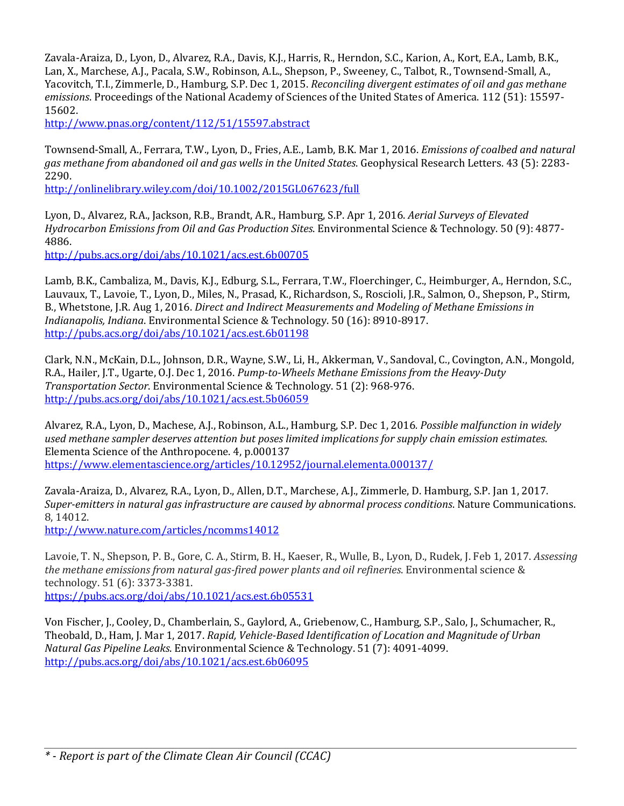Zavala-Araiza, D., Lyon, D., Alvarez, R.A., Davis, K.J., Harris, R., Herndon, S.C., Karion, A., Kort, E.A., Lamb, B.K., Lan, X., Marchese, A.J., Pacala, S.W., Robinson, A.L., Shepson, P., Sweeney, C., Talbot, R., Townsend-Small, A., Yacovitch, T.I., Zimmerle, D., Hamburg, S.P. Dec 1, 2015. *Reconciling divergent estimates of oil and gas methane emissions*. Proceedings of the National Academy of Sciences of the United States of America. 112 (51): 15597- 15602.

<http://www.pnas.org/content/112/51/15597.abstract>

Townsend-Small, A., Ferrara, T.W., Lyon, D., Fries, A.E., Lamb, B.K. Mar 1, 2016. *Emissions of coalbed and natural gas methane from abandoned oil and gas wells in the United States*. Geophysical Research Letters. 43 (5): 2283- 2290.

<http://onlinelibrary.wiley.com/doi/10.1002/2015GL067623/full>

Lyon, D., Alvarez, R.A., Jackson, R.B., Brandt, A.R., Hamburg, S.P. Apr 1, 2016. *Aerial Surveys of Elevated Hydrocarbon Emissions from Oil and Gas Production Sites*. Environmental Science & Technology. 50 (9): 4877- 4886.

<http://pubs.acs.org/doi/abs/10.1021/acs.est.6b00705>

Lamb, B.K., Cambaliza, M., Davis, K.J., Edburg, S.L., Ferrara, T.W., Floerchinger, C., Heimburger, A., Herndon, S.C., Lauvaux, T., Lavoie, T., Lyon, D., Miles, N., Prasad, K., Richardson, S., Roscioli, J.R., Salmon, O., Shepson, P., Stirm, B., Whetstone, J.R. Aug 1, 2016. *Direct and Indirect Measurements and Modeling of Methane Emissions in Indianapolis, Indiana*. Environmental Science & Technology. 50 (16): 8910-8917. <http://pubs.acs.org/doi/abs/10.1021/acs.est.6b01198>

Clark, N.N., McKain, D.L., Johnson, D.R., Wayne, S.W., Li, H., Akkerman, V., Sandoval, C., Covington, A.N., Mongold, R.A., Hailer, J.T., Ugarte, O.J. Dec 1, 2016. *Pump-to-Wheels Methane Emissions from the Heavy-Duty Transportation Sector*. Environmental Science & Technology. 51 (2): 968-976. <http://pubs.acs.org/doi/abs/10.1021/acs.est.5b06059>

Alvarez, R.A., Lyon, D., Machese, A.J., Robinson, A.L., Hamburg, S.P. Dec 1, 2016*. Possible malfunction in widely used methane sampler deserves attention but poses limited implications for supply chain emission estimates*. Elementa Science of the Anthropocene. 4, p.000137 <https://www.elementascience.org/articles/10.12952/journal.elementa.000137/>

Zavala-Araiza, D., Alvarez, R.A., Lyon, D., Allen, D.T., Marchese, A.J., Zimmerle, D. Hamburg, S.P. Jan 1, 2017. *Super-emitters in natural gas infrastructure are caused by abnormal process conditions*. Nature Communications. 8, 14012.

<http://www.nature.com/articles/ncomms14012>

Lavoie, T. N., Shepson, P. B., Gore, C. A., Stirm, B. H., Kaeser, R., Wulle, B., Lyon, D., Rudek, J. Feb 1, 2017. *Assessing the methane emissions from natural gas-fired power plants and oil refineries*. Environmental science & technology. 51 (6): 3373-3381. <https://pubs.acs.org/doi/abs/10.1021/acs.est.6b05531>

Von Fischer, J., Cooley, D., Chamberlain, S., Gaylord, A., Griebenow, C., Hamburg, S.P., Salo, J., Schumacher, R., Theobald, D., Ham, J. Mar 1, 2017. *Rapid, Vehicle-Based Identification of Location and Magnitude of Urban Natural Gas Pipeline Leaks*. Environmental Science & Technology. 51 (7): 4091-4099. <http://pubs.acs.org/doi/abs/10.1021/acs.est.6b06095>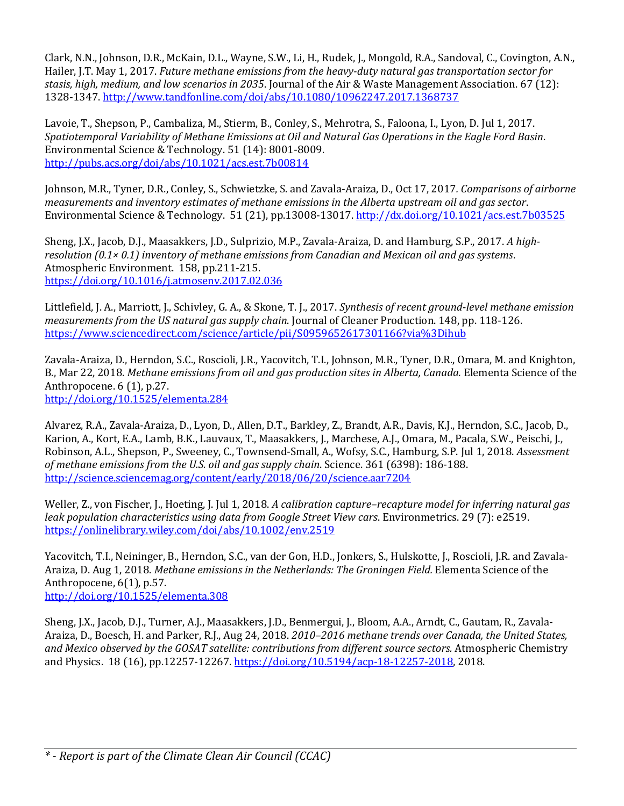Clark, N.N., Johnson, D.R., McKain, D.L., Wayne, S.W., Li, H., Rudek, J., Mongold, R.A., Sandoval, C., Covington, A.N., Hailer, J.T. May 1, 2017. *Future methane emissions from the heavy-duty natural gas transportation sector for stasis, high, medium, and low scenarios in 2035*. Journal of the Air & Waste Management Association. 67 (12): 1328-1347.<http://www.tandfonline.com/doi/abs/10.1080/10962247.2017.1368737>

Lavoie, T., Shepson, P., Cambaliza, M., Stierm, B., Conley, S., Mehrotra, S., Faloona, I., Lyon, D. Jul 1, 2017. *Spatiotemporal Variability of Methane Emissions at Oil and Natural Gas Operations in the Eagle Ford Basin*. Environmental Science & Technology. 51 (14): 8001-8009. <http://pubs.acs.org/doi/abs/10.1021/acs.est.7b00814>

Johnson, M.R., Tyner, D.R., Conley, S., Schwietzke, S. and Zavala-Araiza, D., Oct 17, 2017*. Comparisons of airborne measurements and inventory estimates of methane emissions in the Alberta upstream oil and gas sector*. Environmental Science & Technology. 51 (21), pp.13008-13017[. http://dx.doi.org/10.1021/acs.est.7b03525](http://dx.doi.org/10.1021/acs.est.7b03525)

Sheng, J.X., Jacob, D.J., Maasakkers, J.D., Sulprizio, M.P., Zavala-Araiza, D. and Hamburg, S.P., 2017. *A highresolution (0.1× 0.1) inventory of methane emissions from Canadian and Mexican oil and gas systems*. Atmospheric Environment. 158, pp.211-215. <https://doi.org/10.1016/j.atmosenv.2017.02.036>

Littlefield, J. A., Marriott, J., Schivley, G. A., & Skone, T. J., 2017. *Synthesis of recent ground-level methane emission measurements from the US natural gas supply chain*. Journal of Cleaner Production. 148, pp. 118-126. <https://www.sciencedirect.com/science/article/pii/S0959652617301166?via%3Dihub>

Zavala-Araiza, D., Herndon, S.C., Roscioli, J.R., Yacovitch, T.I., Johnson, M.R., Tyner, D.R., Omara, M. and Knighton, B., Mar 22, 2018. *Methane emissions from oil and gas production sites in Alberta, Canada.* Elementa Science of the Anthropocene. 6 (1), p.27.

<http://doi.org/10.1525/elementa.284>

Alvarez, R.A., Zavala-Araiza, D., Lyon, D., Allen, D.T., Barkley, Z., Brandt, A.R., Davis, K.J., Herndon, S.C., Jacob, D., Karion, A., Kort, E.A., Lamb, B.K., Lauvaux, T., Maasakkers, J., Marchese, A.J., Omara, M., Pacala, S.W., Peischi, J., Robinson, A.L., Shepson, P., Sweeney, C., Townsend-Small, A., Wofsy, S.C., Hamburg, S.P. Jul 1, 2018. *Assessment of methane emissions from the U.S. oil and gas supply chain*. Science. 361 (6398): 186-188. <http://science.sciencemag.org/content/early/2018/06/20/science.aar7204>

Weller, Z., von Fischer, J., Hoeting, J. Jul 1, 2018. *A calibration capture–recapture model for inferring natural gas leak population characteristics using data from Google Street View cars*. Environmetrics. 29 (7): e2519. <https://onlinelibrary.wiley.com/doi/abs/10.1002/env.2519>

Yacovitch, T.I., Neininger, B., Herndon, S.C., van der Gon, H.D., Jonkers, S., Hulskotte, J., Roscioli, J.R. and Zavala-Araiza, D. Aug 1, 2018. *Methane emissions in the Netherlands: The Groningen Field.* Elementa Science of the Anthropocene, 6(1), p.57. <http://doi.org/10.1525/elementa.308>

Sheng, J.X., Jacob, D.J., Turner, A.J., Maasakkers, J.D., Benmergui, J., Bloom, A.A., Arndt, C., Gautam, R., Zavala-Araiza, D., Boesch, H. and Parker, R.J., Aug 24, 2018. *2010–2016 methane trends over Canada, the United States, and Mexico observed by the GOSAT satellite: contributions from different source sectors.* Atmospheric Chemistry and Physics. 18 (16), pp.12257-12267. [https://doi.org/10.5194/acp-18-12257-2018,](https://doi.org/10.5194/acp-18-12257-2018) 2018.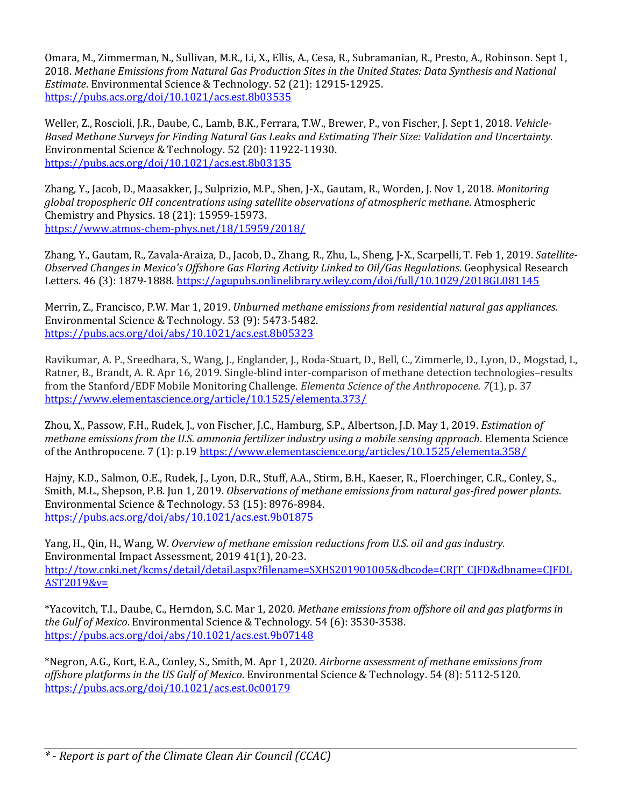Omara, M., Zimmerman, N., Sullivan, M.R., Li, X., Ellis, A., Cesa, R., Subramanian, R., Presto, A., Robinson. Sept 1, 2018. *Methane Emissions from Natural Gas Production Sites in the United States: Data Synthesis and National Estimate*. Environmental Science & Technology. 52 (21): 12915-12925. <https://pubs.acs.org/doi/10.1021/acs.est.8b03535>

Weller, Z., Roscioli, J.R., Daube, C., Lamb, B.K., Ferrara, T.W., Brewer, P., von Fischer, J. Sept 1, 2018. *Vehicle-Based Methane Surveys for Finding Natural Gas Leaks and Estimating Their Size: Validation and Uncertainty*. Environmental Science & Technology. 52 (20): 11922-11930. <https://pubs.acs.org/doi/10.1021/acs.est.8b03135>

Zhang, Y., Jacob, D., Maasakker, J., Sulprizio, M.P., Shen, J-X., Gautam, R., Worden, J. Nov 1, 2018. *Monitoring global tropospheric OH concentrations using satellite observations of atmospheric methane*. Atmospheric Chemistry and Physics. 18 (21): 15959-15973. <https://www.atmos-chem-phys.net/18/15959/2018/>

Zhang, Y., Gautam, R., Zavala-Araiza, D., Jacob, D., Zhang, R., Zhu, L., Sheng, J-X., Scarpelli, T. Feb 1, 2019. *Satellite‐ Observed Changes in Mexico's Offshore Gas Flaring Activity Linked to Oil/Gas Regulations*. Geophysical Research Letters. 46 (3): 1879-1888[. https://agupubs.onlinelibrary.wiley.com/doi/full/10.1029/2018GL081145](https://agupubs.onlinelibrary.wiley.com/doi/full/10.1029/2018GL081145)

Merrin, Z., Francisco, P.W. Mar 1, 2019. *Unburned methane emissions from residential natural gas appliances*. Environmental Science & Technology. 53 (9): 5473-5482. <https://pubs.acs.org/doi/abs/10.1021/acs.est.8b05323>

Ravikumar, A. P., Sreedhara, S., Wang, J., Englander, J., Roda-Stuart, D., Bell, C., Zimmerle, D., Lyon, D., Mogstad, I., Ratner, B., Brandt, A. R. Apr 16, 2019. Single-blind inter-comparison of methane detection technologies–results from the Stanford/EDF Mobile Monitoring Challenge. *Elementa Science of the Anthropocene. 7*(1), p. 37 <https://www.elementascience.org/article/10.1525/elementa.373/>

Zhou, X., Passow, F.H., Rudek, J., von Fischer, J.C., Hamburg, S.P., Albertson, J.D. May 1, 2019. *Estimation of methane emissions from the U.S. ammonia fertilizer industry using a mobile sensing approach*. Elementa Science of the Anthropocene. 7 (1): p.19<https://www.elementascience.org/articles/10.1525/elementa.358/>

Hajny, K.D., Salmon, O.E., Rudek, J., Lyon, D.R., Stuff, A.A., Stirm, B.H., Kaeser, R., Floerchinger, C.R., Conley, S., Smith, M.L., Shepson, P.B. Jun 1, 2019. *Observations of methane emissions from natural gas-fired power plants*. Environmental Science & Technology. 53 (15): 8976-8984. <https://pubs.acs.org/doi/abs/10.1021/acs.est.9b01875>

Yang, H., Qin, H., Wang, W. *Overview of methane emission reductions from U.S. oil and gas industry*. Environmental Impact Assessment, 2019 41(1), 20-23. [http://tow.cnki.net/kcms/detail/detail.aspx?filename=SXHS201901005&dbcode=CRJT\\_CJFD&dbname=CJFDL](http://tow.cnki.net/kcms/detail/detail.aspx?filename=SXHS201901005&dbcode=CRJT_CJFD&dbname=CJFDLAST2019&v=) [AST2019&v=](http://tow.cnki.net/kcms/detail/detail.aspx?filename=SXHS201901005&dbcode=CRJT_CJFD&dbname=CJFDLAST2019&v=)

\*Yacovitch, T.I., Daube, C., Herndon, S.C. Mar 1, 2020. *Methane emissions from offshore oil and gas platforms in the Gulf of Mexico*. Environmental Science & Technology. 54 (6): 3530-3538. <https://pubs.acs.org/doi/abs/10.1021/acs.est.9b07148>

\*Negron, A.G., Kort, E.A., Conley, S., Smith, M. Apr 1, 2020. *Airborne assessment of methane emissions from offshore platforms in the US Gulf of Mexico*. Environmental Science & Technology. 54 (8): 5112-5120. <https://pubs.acs.org/doi/10.1021/acs.est.0c00179>